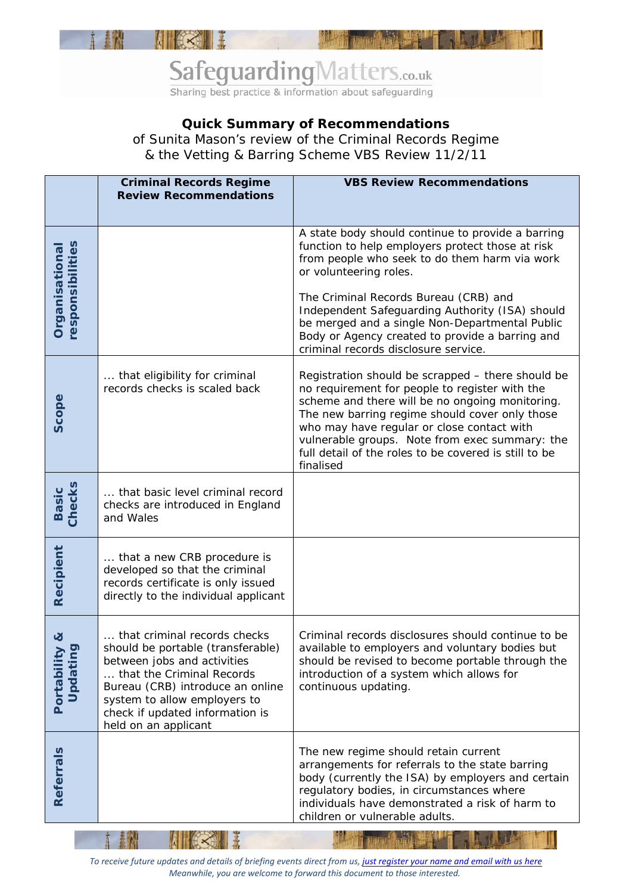

## SafeguardingMatters.co.uk Sharing best practice & information about safeguarding

## **Quick Summary of Recommendations**

of Sunita Mason's review of the Criminal Records Regime & the Vetting & Barring Scheme VBS Review 11/2/11

|                                    | <b>Criminal Records Regime</b><br><b>Review Recommendations</b>                                                                                                                                                                                              | <b>VBS Review Recommendations</b>                                                                                                                                                                                                                                                                                                                                              |
|------------------------------------|--------------------------------------------------------------------------------------------------------------------------------------------------------------------------------------------------------------------------------------------------------------|--------------------------------------------------------------------------------------------------------------------------------------------------------------------------------------------------------------------------------------------------------------------------------------------------------------------------------------------------------------------------------|
| Organisational<br>responsibilities |                                                                                                                                                                                                                                                              | A state body should continue to provide a barring<br>function to help employers protect those at risk<br>from people who seek to do them harm via work<br>or volunteering roles.                                                                                                                                                                                               |
|                                    |                                                                                                                                                                                                                                                              | The Criminal Records Bureau (CRB) and<br>Independent Safeguarding Authority (ISA) should<br>be merged and a single Non-Departmental Public<br>Body or Agency created to provide a barring and<br>criminal records disclosure service.                                                                                                                                          |
| Scope                              | that eligibility for criminal<br>records checks is scaled back                                                                                                                                                                                               | Registration should be scrapped - there should be<br>no requirement for people to register with the<br>scheme and there will be no ongoing monitoring.<br>The new barring regime should cover only those<br>who may have regular or close contact with<br>vulnerable groups. Note from exec summary: the<br>full detail of the roles to be covered is still to be<br>finalised |
| <b>Basic</b><br>Checks             | that basic level criminal record<br>checks are introduced in England<br>and Wales                                                                                                                                                                            |                                                                                                                                                                                                                                                                                                                                                                                |
| Recipient                          | that a new CRB procedure is<br>developed so that the criminal<br>records certificate is only issued<br>directly to the individual applicant                                                                                                                  |                                                                                                                                                                                                                                                                                                                                                                                |
| ୪<br>Portability<br>Updating       | that criminal records checks<br>should be portable (transferable)<br>between jobs and activities<br>that the Criminal Records<br>Bureau (CRB) introduce an online<br>system to allow employers to<br>check if updated information is<br>held on an applicant | Criminal records disclosures should continue to be<br>available to employers and voluntary bodies but<br>should be revised to become portable through the<br>introduction of a system which allows for<br>continuous updating.                                                                                                                                                 |
| Referrals                          |                                                                                                                                                                                                                                                              | The new regime should retain current<br>arrangements for referrals to the state barring<br>body (currently the ISA) by employers and certain<br>regulatory bodies, in circumstances where<br>individuals have demonstrated a risk of harm to<br>children or vulnerable adults.                                                                                                 |

*To receive future updates and details of briefing events direct from us, just [register your name and email with us here](http://secure.olive360server.co.uk/events/safeguardingmatters/) Meanwhile, you are welcome to forward this document to those interested.*

Ш

**ALCS II** 

n.